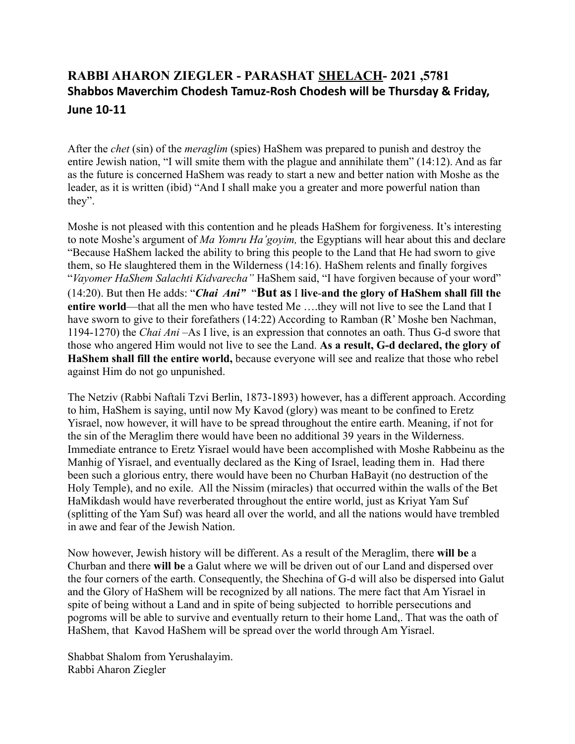## **RABBI AHARON ZIEGLER - PARASHAT SHELACH- 2021 ,5781 Shabbos Maverchim Chodesh Tamuz-Rosh Chodesh will be Thursday & Friday, June 10-11**

After the *chet* (sin) of the *meraglim* (spies) HaShem was prepared to punish and destroy the entire Jewish nation, "I will smite them with the plague and annihilate them" (14:12). And as far as the future is concerned HaShem was ready to start a new and better nation with Moshe as the leader, as it is written (ibid) "And I shall make you a greater and more powerful nation than they".

Moshe is not pleased with this contention and he pleads HaShem for forgiveness. It's interesting to note Moshe's argument of *Ma Yomru Ha'goyim,* the Egyptians will hear about this and declare "Because HaShem lacked the ability to bring this people to the Land that He had sworn to give them, so He slaughtered them in the Wilderness (14:16). HaShem relents and finally forgives "*Vayomer HaShem Salachti Kidvarecha"* HaShem said, "I have forgiven because of your word" (14:20). But then He adds: "*Chai Ani"* "**But as** I **live**-**and the glory of HaShem shall fill the entire world**—that all the men who have tested Me ….they will not live to see the Land that I have sworn to give to their forefathers (14:22) According to Ramban (R' Moshe ben Nachman, 1194-1270) the *Chai Ani –*As I live, is an expression that connotes an oath. Thus G-d swore that those who angered Him would not live to see the Land. **As a result, G-d declared, the glory of HaShem shall fill the entire world,** because everyone will see and realize that those who rebel against Him do not go unpunished.

The Netziv (Rabbi Naftali Tzvi Berlin, 1873-1893) however, has a different approach. According to him, HaShem is saying, until now My Kavod (glory) was meant to be confined to Eretz Yisrael, now however, it will have to be spread throughout the entire earth. Meaning, if not for the sin of the Meraglim there would have been no additional 39 years in the Wilderness. Immediate entrance to Eretz Yisrael would have been accomplished with Moshe Rabbeinu as the Manhig of Yisrael, and eventually declared as the King of Israel, leading them in. Had there been such a glorious entry, there would have been no Churban HaBayit (no destruction of the Holy Temple), and no exile. All the Nissim (miracles) that occurred within the walls of the Bet HaMikdash would have reverberated throughout the entire world, just as Kriyat Yam Suf (splitting of the Yam Suf) was heard all over the world, and all the nations would have trembled in awe and fear of the Jewish Nation.

Now however, Jewish history will be different. As a result of the Meraglim, there **will be** a Churban and there **will be** a Galut where we will be driven out of our Land and dispersed over the four corners of the earth. Consequently, the Shechina of G-d will also be dispersed into Galut and the Glory of HaShem will be recognized by all nations. The mere fact that Am Yisrael in spite of being without a Land and in spite of being subjected to horrible persecutions and pogroms will be able to survive and eventually return to their home Land,. That was the oath of HaShem, that Kavod HaShem will be spread over the world through Am Yisrael.

Shabbat Shalom from Yerushalayim. Rabbi Aharon Ziegler